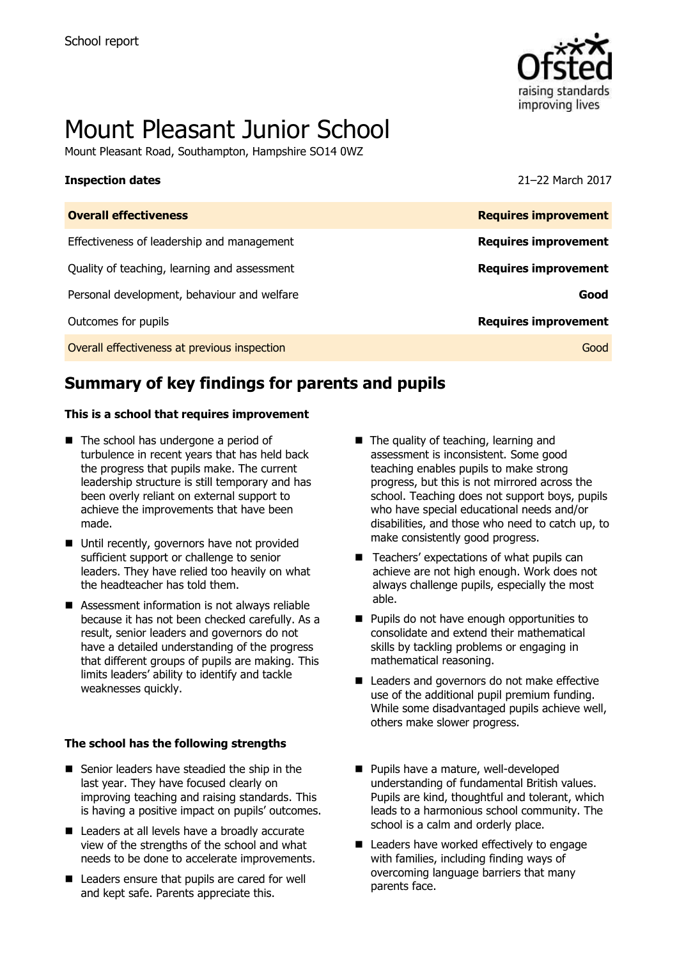

# Mount Pleasant Junior School

Mount Pleasant Road, Southampton, Hampshire SO14 0WZ

#### **Inspection dates** 21–22 March 2017

| <b>Overall effectiveness</b>                 | <b>Requires improvement</b> |
|----------------------------------------------|-----------------------------|
| Effectiveness of leadership and management   | <b>Requires improvement</b> |
| Quality of teaching, learning and assessment | <b>Requires improvement</b> |
| Personal development, behaviour and welfare  | Good                        |
| Outcomes for pupils                          | <b>Requires improvement</b> |
| Overall effectiveness at previous inspection | Good                        |
|                                              |                             |

# **Summary of key findings for parents and pupils**

#### **This is a school that requires improvement**

- The school has undergone a period of turbulence in recent years that has held back the progress that pupils make. The current leadership structure is still temporary and has been overly reliant on external support to achieve the improvements that have been made.
- Until recently, governors have not provided sufficient support or challenge to senior leaders. They have relied too heavily on what the headteacher has told them.
- Assessment information is not always reliable because it has not been checked carefully. As a result, senior leaders and governors do not have a detailed understanding of the progress that different groups of pupils are making. This limits leaders' ability to identify and tackle weaknesses quickly.

#### **The school has the following strengths**

- Senior leaders have steadied the ship in the last year. They have focused clearly on improving teaching and raising standards. This is having a positive impact on pupils' outcomes.
- Leaders at all levels have a broadly accurate view of the strengths of the school and what needs to be done to accelerate improvements.
- Leaders ensure that pupils are cared for well and kept safe. Parents appreciate this.
- The quality of teaching, learning and assessment is inconsistent. Some good teaching enables pupils to make strong progress, but this is not mirrored across the school. Teaching does not support boys, pupils who have special educational needs and/or disabilities, and those who need to catch up, to make consistently good progress.
- Teachers' expectations of what pupils can achieve are not high enough. Work does not always challenge pupils, especially the most able.
- **Pupils do not have enough opportunities to** consolidate and extend their mathematical skills by tackling problems or engaging in mathematical reasoning.
- Leaders and governors do not make effective use of the additional pupil premium funding. While some disadvantaged pupils achieve well, others make slower progress.
- Pupils have a mature, well-developed understanding of fundamental British values. Pupils are kind, thoughtful and tolerant, which leads to a harmonious school community. The school is a calm and orderly place.
- Leaders have worked effectively to engage with families, including finding ways of overcoming language barriers that many parents face.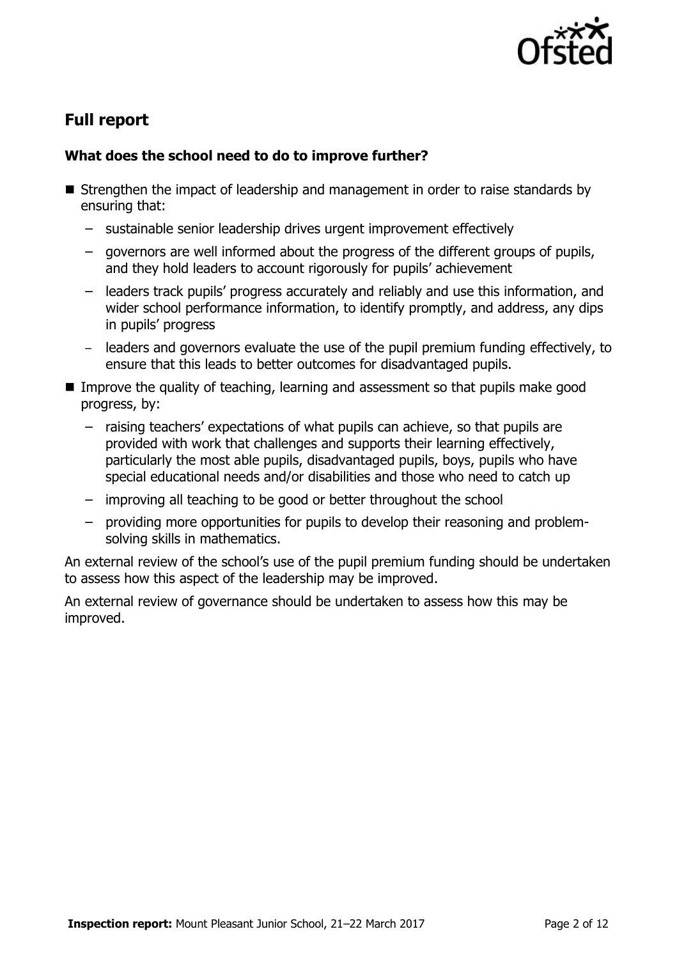

# **Full report**

### **What does the school need to do to improve further?**

- Strengthen the impact of leadership and management in order to raise standards by ensuring that:
	- sustainable senior leadership drives urgent improvement effectively
	- governors are well informed about the progress of the different groups of pupils, and they hold leaders to account rigorously for pupils' achievement
	- leaders track pupils' progress accurately and reliably and use this information, and wider school performance information, to identify promptly, and address, any dips in pupils' progress
	- leaders and governors evaluate the use of the pupil premium funding effectively, to ensure that this leads to better outcomes for disadvantaged pupils.
- **IMPROVE the quality of teaching, learning and assessment so that pupils make good** progress, by:
	- raising teachers' expectations of what pupils can achieve, so that pupils are provided with work that challenges and supports their learning effectively, particularly the most able pupils, disadvantaged pupils, boys, pupils who have special educational needs and/or disabilities and those who need to catch up
	- improving all teaching to be good or better throughout the school
	- providing more opportunities for pupils to develop their reasoning and problemsolving skills in mathematics.

An external review of the school's use of the pupil premium funding should be undertaken to assess how this aspect of the leadership may be improved.

An external review of governance should be undertaken to assess how this may be improved.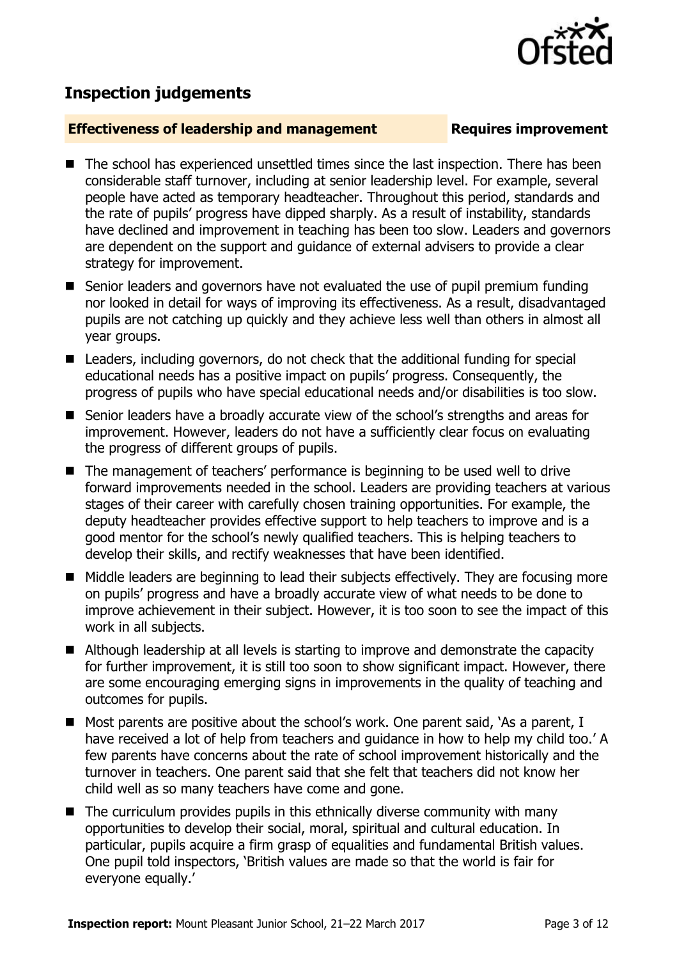## **Inspection judgements**

#### **Effectiveness of leadership and management Requires improvement**

- The school has experienced unsettled times since the last inspection. There has been considerable staff turnover, including at senior leadership level. For example, several people have acted as temporary headteacher. Throughout this period, standards and the rate of pupils' progress have dipped sharply. As a result of instability, standards have declined and improvement in teaching has been too slow. Leaders and governors are dependent on the support and guidance of external advisers to provide a clear strategy for improvement.
- Senior leaders and governors have not evaluated the use of pupil premium funding nor looked in detail for ways of improving its effectiveness. As a result, disadvantaged pupils are not catching up quickly and they achieve less well than others in almost all year groups.
- Leaders, including governors, do not check that the additional funding for special educational needs has a positive impact on pupils' progress. Consequently, the progress of pupils who have special educational needs and/or disabilities is too slow.
- Senior leaders have a broadly accurate view of the school's strengths and areas for improvement. However, leaders do not have a sufficiently clear focus on evaluating the progress of different groups of pupils.
- The management of teachers' performance is beginning to be used well to drive forward improvements needed in the school. Leaders are providing teachers at various stages of their career with carefully chosen training opportunities. For example, the deputy headteacher provides effective support to help teachers to improve and is a good mentor for the school's newly qualified teachers. This is helping teachers to develop their skills, and rectify weaknesses that have been identified.
- Middle leaders are beginning to lead their subjects effectively. They are focusing more on pupils' progress and have a broadly accurate view of what needs to be done to improve achievement in their subject. However, it is too soon to see the impact of this work in all subjects.
- Although leadership at all levels is starting to improve and demonstrate the capacity for further improvement, it is still too soon to show significant impact. However, there are some encouraging emerging signs in improvements in the quality of teaching and outcomes for pupils.
- Most parents are positive about the school's work. One parent said, `As a parent, I have received a lot of help from teachers and guidance in how to help my child too.' A few parents have concerns about the rate of school improvement historically and the turnover in teachers. One parent said that she felt that teachers did not know her child well as so many teachers have come and gone.
- $\blacksquare$  The curriculum provides pupils in this ethnically diverse community with many opportunities to develop their social, moral, spiritual and cultural education. In particular, pupils acquire a firm grasp of equalities and fundamental British values. One pupil told inspectors, 'British values are made so that the world is fair for everyone equally.'

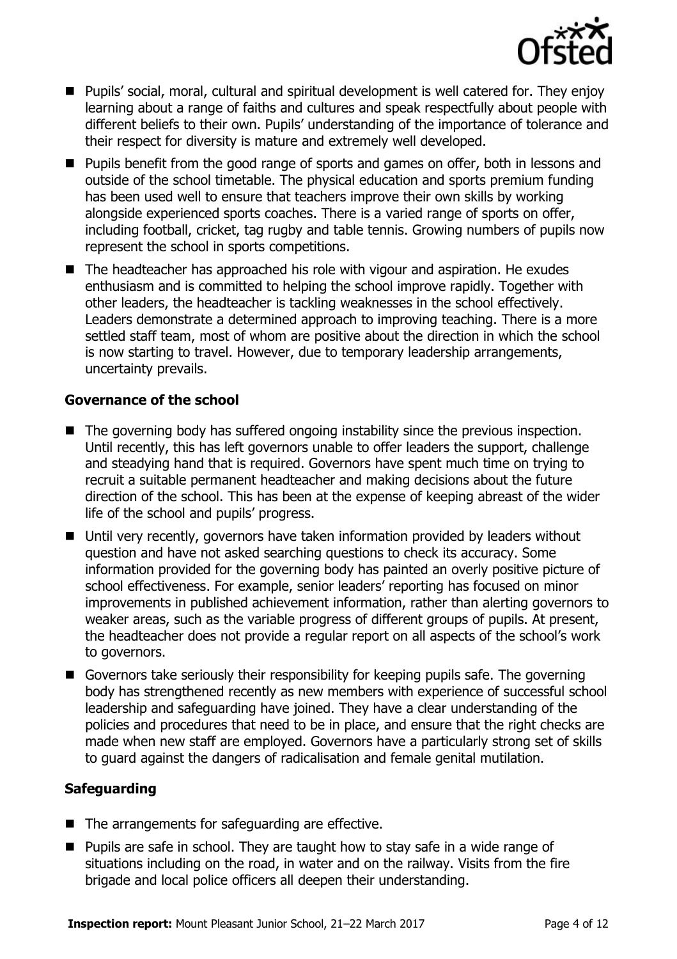

- Pupils' social, moral, cultural and spiritual development is well catered for. They enjoy learning about a range of faiths and cultures and speak respectfully about people with different beliefs to their own. Pupils' understanding of the importance of tolerance and their respect for diversity is mature and extremely well developed.
- Pupils benefit from the good range of sports and games on offer, both in lessons and outside of the school timetable. The physical education and sports premium funding has been used well to ensure that teachers improve their own skills by working alongside experienced sports coaches. There is a varied range of sports on offer, including football, cricket, tag rugby and table tennis. Growing numbers of pupils now represent the school in sports competitions.
- The headteacher has approached his role with vigour and aspiration. He exudes enthusiasm and is committed to helping the school improve rapidly. Together with other leaders, the headteacher is tackling weaknesses in the school effectively. Leaders demonstrate a determined approach to improving teaching. There is a more settled staff team, most of whom are positive about the direction in which the school is now starting to travel. However, due to temporary leadership arrangements, uncertainty prevails.

### **Governance of the school**

- The governing body has suffered ongoing instability since the previous inspection. Until recently, this has left governors unable to offer leaders the support, challenge and steadying hand that is required. Governors have spent much time on trying to recruit a suitable permanent headteacher and making decisions about the future direction of the school. This has been at the expense of keeping abreast of the wider life of the school and pupils' progress.
- Until very recently, governors have taken information provided by leaders without question and have not asked searching questions to check its accuracy. Some information provided for the governing body has painted an overly positive picture of school effectiveness. For example, senior leaders' reporting has focused on minor improvements in published achievement information, rather than alerting governors to weaker areas, such as the variable progress of different groups of pupils. At present, the headteacher does not provide a regular report on all aspects of the school's work to governors.
- Governors take seriously their responsibility for keeping pupils safe. The governing body has strengthened recently as new members with experience of successful school leadership and safeguarding have joined. They have a clear understanding of the policies and procedures that need to be in place, and ensure that the right checks are made when new staff are employed. Governors have a particularly strong set of skills to guard against the dangers of radicalisation and female genital mutilation.

### **Safeguarding**

- The arrangements for safeguarding are effective.
- $\blacksquare$  Pupils are safe in school. They are taught how to stay safe in a wide range of situations including on the road, in water and on the railway. Visits from the fire brigade and local police officers all deepen their understanding.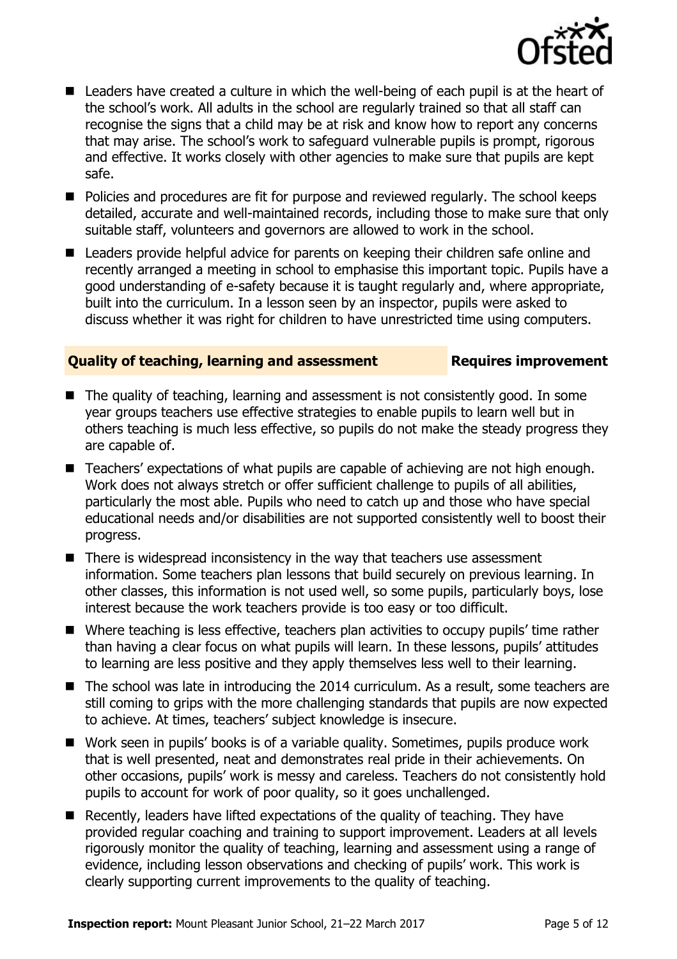

- Leaders have created a culture in which the well-being of each pupil is at the heart of the school's work. All adults in the school are regularly trained so that all staff can recognise the signs that a child may be at risk and know how to report any concerns that may arise. The school's work to safeguard vulnerable pupils is prompt, rigorous and effective. It works closely with other agencies to make sure that pupils are kept safe.
- **Policies and procedures are fit for purpose and reviewed regularly. The school keeps** detailed, accurate and well-maintained records, including those to make sure that only suitable staff, volunteers and governors are allowed to work in the school.
- Leaders provide helpful advice for parents on keeping their children safe online and recently arranged a meeting in school to emphasise this important topic. Pupils have a good understanding of e-safety because it is taught regularly and, where appropriate, built into the curriculum. In a lesson seen by an inspector, pupils were asked to discuss whether it was right for children to have unrestricted time using computers.

#### **Quality of teaching, learning and assessment Fig. 2.1 Requires improvement**

- $\blacksquare$  The quality of teaching, learning and assessment is not consistently good. In some year groups teachers use effective strategies to enable pupils to learn well but in others teaching is much less effective, so pupils do not make the steady progress they are capable of.
- Teachers' expectations of what pupils are capable of achieving are not high enough. Work does not always stretch or offer sufficient challenge to pupils of all abilities, particularly the most able. Pupils who need to catch up and those who have special educational needs and/or disabilities are not supported consistently well to boost their progress.
- $\blacksquare$  There is widespread inconsistency in the way that teachers use assessment information. Some teachers plan lessons that build securely on previous learning. In other classes, this information is not used well, so some pupils, particularly boys, lose interest because the work teachers provide is too easy or too difficult.
- Where teaching is less effective, teachers plan activities to occupy pupils' time rather than having a clear focus on what pupils will learn. In these lessons, pupils' attitudes to learning are less positive and they apply themselves less well to their learning.
- The school was late in introducing the 2014 curriculum. As a result, some teachers are still coming to grips with the more challenging standards that pupils are now expected to achieve. At times, teachers' subject knowledge is insecure.
- Work seen in pupils' books is of a variable quality. Sometimes, pupils produce work that is well presented, neat and demonstrates real pride in their achievements. On other occasions, pupils' work is messy and careless. Teachers do not consistently hold pupils to account for work of poor quality, so it goes unchallenged.
- Recently, leaders have lifted expectations of the quality of teaching. They have provided regular coaching and training to support improvement. Leaders at all levels rigorously monitor the quality of teaching, learning and assessment using a range of evidence, including lesson observations and checking of pupils' work. This work is clearly supporting current improvements to the quality of teaching.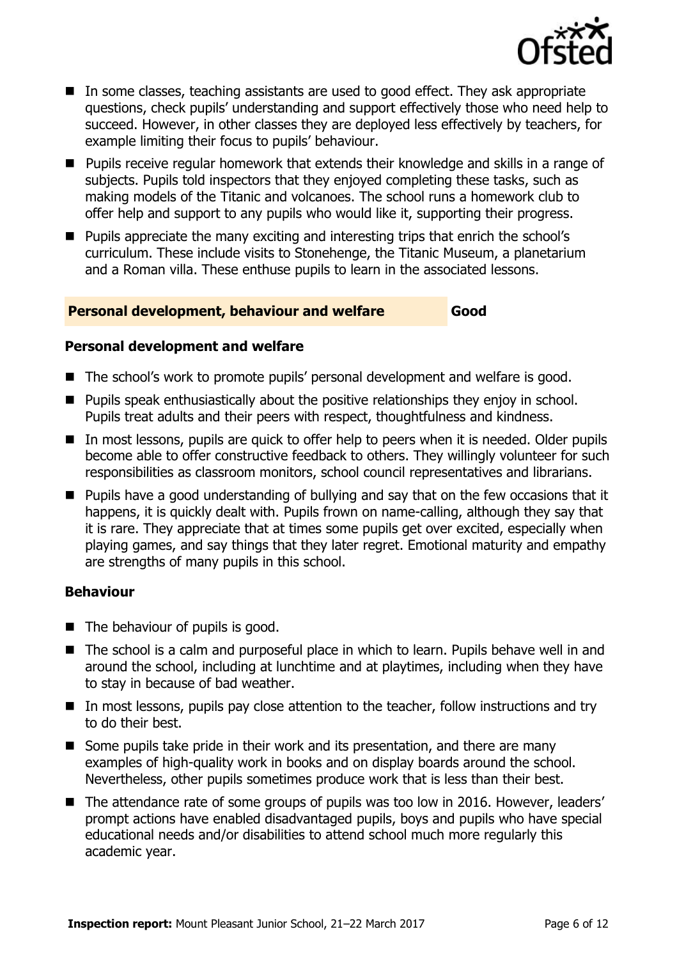

- In some classes, teaching assistants are used to good effect. They ask appropriate questions, check pupils' understanding and support effectively those who need help to succeed. However, in other classes they are deployed less effectively by teachers, for example limiting their focus to pupils' behaviour.
- Pupils receive regular homework that extends their knowledge and skills in a range of subjects. Pupils told inspectors that they enjoyed completing these tasks, such as making models of the Titanic and volcanoes. The school runs a homework club to offer help and support to any pupils who would like it, supporting their progress.
- Pupils appreciate the many exciting and interesting trips that enrich the school's curriculum. These include visits to Stonehenge, the Titanic Museum, a planetarium and a Roman villa. These enthuse pupils to learn in the associated lessons.

#### **Personal development, behaviour and welfare Good**

#### **Personal development and welfare**

- The school's work to promote pupils' personal development and welfare is good.
- **Pupils speak enthusiastically about the positive relationships they enjoy in school.** Pupils treat adults and their peers with respect, thoughtfulness and kindness.
- In most lessons, pupils are quick to offer help to peers when it is needed. Older pupils become able to offer constructive feedback to others. They willingly volunteer for such responsibilities as classroom monitors, school council representatives and librarians.
- **Pupils have a good understanding of bullying and say that on the few occasions that it** happens, it is quickly dealt with. Pupils frown on name-calling, although they say that it is rare. They appreciate that at times some pupils get over excited, especially when playing games, and say things that they later regret. Emotional maturity and empathy are strengths of many pupils in this school.

#### **Behaviour**

- $\blacksquare$  The behaviour of pupils is good.
- The school is a calm and purposeful place in which to learn. Pupils behave well in and around the school, including at lunchtime and at playtimes, including when they have to stay in because of bad weather.
- In most lessons, pupils pay close attention to the teacher, follow instructions and try to do their best.
- Some pupils take pride in their work and its presentation, and there are many examples of high-quality work in books and on display boards around the school. Nevertheless, other pupils sometimes produce work that is less than their best.
- The attendance rate of some groups of pupils was too low in 2016. However, leaders' prompt actions have enabled disadvantaged pupils, boys and pupils who have special educational needs and/or disabilities to attend school much more regularly this academic year.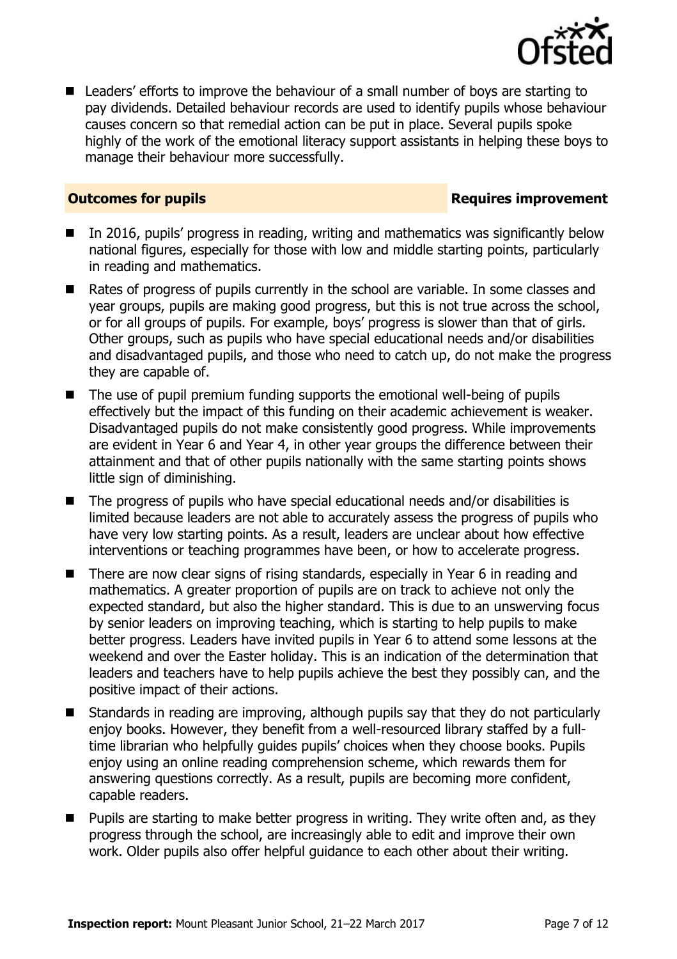

■ Leaders' efforts to improve the behaviour of a small number of boys are starting to pay dividends. Detailed behaviour records are used to identify pupils whose behaviour causes concern so that remedial action can be put in place. Several pupils spoke highly of the work of the emotional literacy support assistants in helping these boys to manage their behaviour more successfully.

**Outcomes for pupils Requires improvement** 

- In 2016, pupils' progress in reading, writing and mathematics was significantly below national figures, especially for those with low and middle starting points, particularly in reading and mathematics.
- Rates of progress of pupils currently in the school are variable. In some classes and year groups, pupils are making good progress, but this is not true across the school, or for all groups of pupils. For example, boys' progress is slower than that of girls. Other groups, such as pupils who have special educational needs and/or disabilities and disadvantaged pupils, and those who need to catch up, do not make the progress they are capable of.
- The use of pupil premium funding supports the emotional well-being of pupils effectively but the impact of this funding on their academic achievement is weaker. Disadvantaged pupils do not make consistently good progress. While improvements are evident in Year 6 and Year 4, in other year groups the difference between their attainment and that of other pupils nationally with the same starting points shows little sign of diminishing.
- The progress of pupils who have special educational needs and/or disabilities is limited because leaders are not able to accurately assess the progress of pupils who have very low starting points. As a result, leaders are unclear about how effective interventions or teaching programmes have been, or how to accelerate progress.
- There are now clear signs of rising standards, especially in Year 6 in reading and mathematics. A greater proportion of pupils are on track to achieve not only the expected standard, but also the higher standard. This is due to an unswerving focus by senior leaders on improving teaching, which is starting to help pupils to make better progress. Leaders have invited pupils in Year 6 to attend some lessons at the weekend and over the Easter holiday. This is an indication of the determination that leaders and teachers have to help pupils achieve the best they possibly can, and the positive impact of their actions.
- Standards in reading are improving, although pupils say that they do not particularly enjoy books. However, they benefit from a well-resourced library staffed by a fulltime librarian who helpfully guides pupils' choices when they choose books. Pupils enjoy using an online reading comprehension scheme, which rewards them for answering questions correctly. As a result, pupils are becoming more confident, capable readers.
- Pupils are starting to make better progress in writing. They write often and, as they progress through the school, are increasingly able to edit and improve their own work. Older pupils also offer helpful guidance to each other about their writing.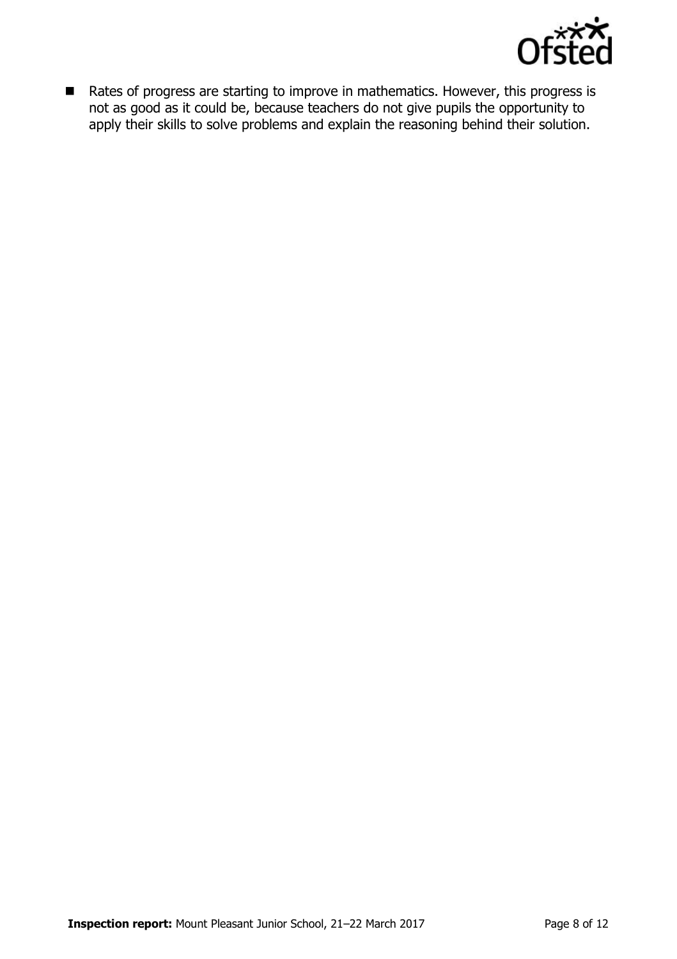

■ Rates of progress are starting to improve in mathematics. However, this progress is not as good as it could be, because teachers do not give pupils the opportunity to apply their skills to solve problems and explain the reasoning behind their solution.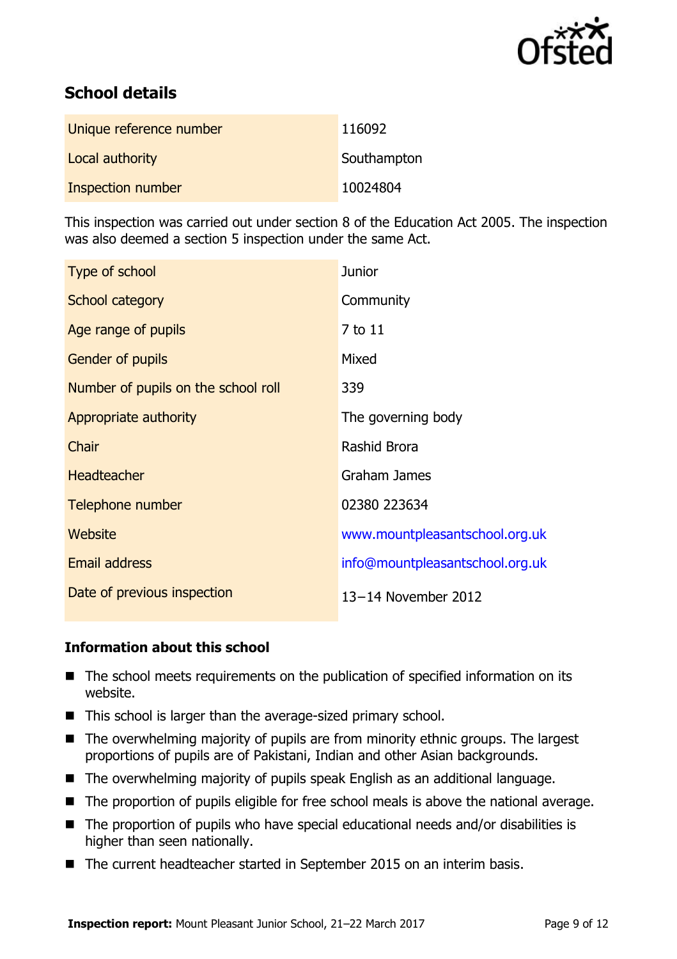

# **School details**

| Unique reference number | 116092      |
|-------------------------|-------------|
| Local authority         | Southampton |
| Inspection number       | 10024804    |

This inspection was carried out under section 8 of the Education Act 2005. The inspection was also deemed a section 5 inspection under the same Act.

| Type of school                      | <b>Junior</b>                   |
|-------------------------------------|---------------------------------|
| School category                     | Community                       |
| Age range of pupils                 | 7 to 11                         |
| <b>Gender of pupils</b>             | Mixed                           |
| Number of pupils on the school roll | 339                             |
| Appropriate authority               | The governing body              |
| Chair                               | Rashid Brora                    |
| <b>Headteacher</b>                  | Graham James                    |
| Telephone number                    | 02380 223634                    |
| Website                             | www.mountpleasantschool.org.uk  |
| <b>Email address</b>                | info@mountpleasantschool.org.uk |
| Date of previous inspection         | 13-14 November 2012             |

### **Information about this school**

- The school meets requirements on the publication of specified information on its website.
- This school is larger than the average-sized primary school.
- $\blacksquare$  The overwhelming majority of pupils are from minority ethnic groups. The largest proportions of pupils are of Pakistani, Indian and other Asian backgrounds.
- The overwhelming majority of pupils speak English as an additional language.
- The proportion of pupils eligible for free school meals is above the national average.
- The proportion of pupils who have special educational needs and/or disabilities is higher than seen nationally.
- The current headteacher started in September 2015 on an interim basis.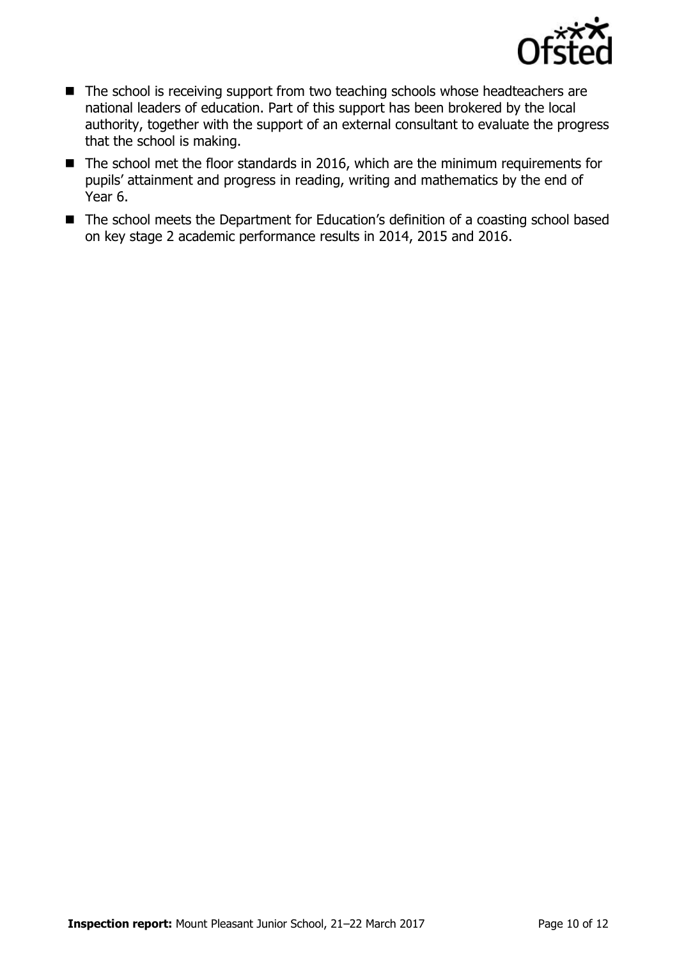

- The school is receiving support from two teaching schools whose headteachers are national leaders of education. Part of this support has been brokered by the local authority, together with the support of an external consultant to evaluate the progress that the school is making.
- The school met the floor standards in 2016, which are the minimum requirements for pupils' attainment and progress in reading, writing and mathematics by the end of Year 6.
- The school meets the Department for Education's definition of a coasting school based on key stage 2 academic performance results in 2014, 2015 and 2016.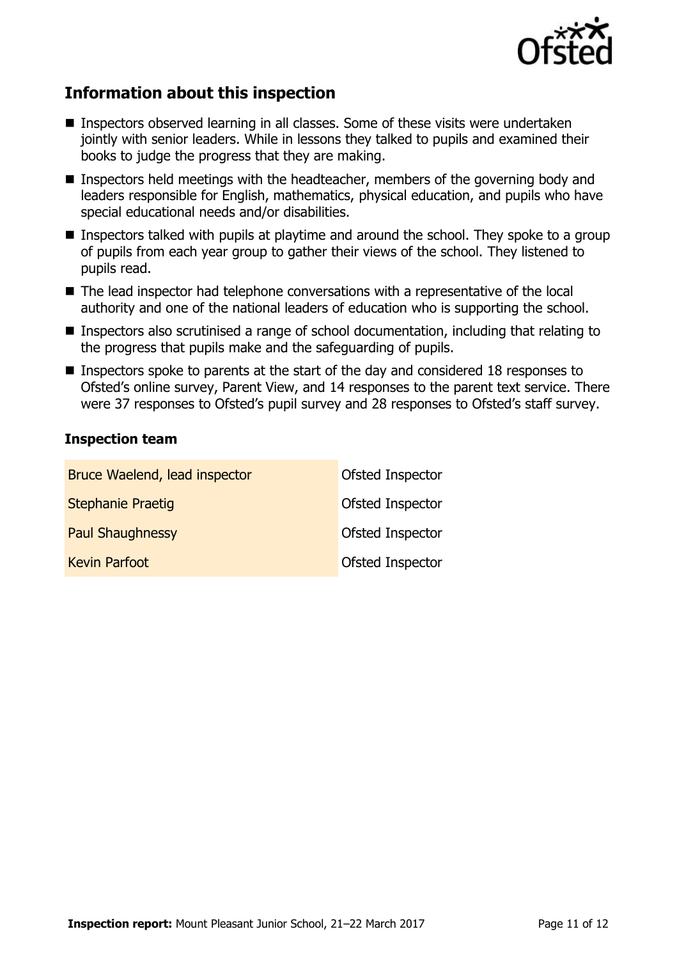

# **Information about this inspection**

- Inspectors observed learning in all classes. Some of these visits were undertaken jointly with senior leaders. While in lessons they talked to pupils and examined their books to judge the progress that they are making.
- **Inspectors held meetings with the headteacher, members of the governing body and** leaders responsible for English, mathematics, physical education, and pupils who have special educational needs and/or disabilities.
- **Inspectors talked with pupils at playtime and around the school. They spoke to a group** of pupils from each year group to gather their views of the school. They listened to pupils read.
- The lead inspector had telephone conversations with a representative of the local authority and one of the national leaders of education who is supporting the school.
- Inspectors also scrutinised a range of school documentation, including that relating to the progress that pupils make and the safeguarding of pupils.
- **Inspectors spoke to parents at the start of the day and considered 18 responses to** Ofsted's online survey, Parent View, and 14 responses to the parent text service. There were 37 responses to Ofsted's pupil survey and 28 responses to Ofsted's staff survey.

### **Inspection team**

| Bruce Waelend, lead inspector | Ofsted Inspector |
|-------------------------------|------------------|
| <b>Stephanie Praetig</b>      | Ofsted Inspector |
| <b>Paul Shaughnessy</b>       | Ofsted Inspector |
| <b>Kevin Parfoot</b>          | Ofsted Inspector |